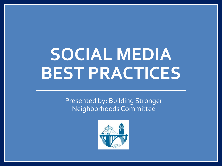## **SOCIAL MEDIA BEST PRACTICES**

Presented by: Building Stronger Neighborhoods Committee

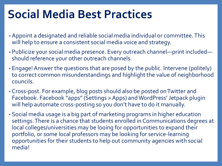## **Social Media Best Practices**

- Appoint a designated and reliable social media individual or committee. This will help to ensure a consistent social media voice and strategy.
- Publicize your social media presence. Every outreach channel—print included should reference your other outreach channels.
- Engage! Answer the questions that are posed by the public. Intervene (politely) to correct common misunderstandings and highlight the value of neighborhood councils.
- Cross-post. For example, blog posts should also be posted on Twitter and Facebook. Facebook "apps" (Settings > Apps) and WordPress' Jetpack plugin will help automate cross-posting so you don't have to do it manually.
- Social media usage is a big part of marketing programs in higher education settings. There is a chance that students enrolled in Communications degrees at local colleges/universities may be looing for opportunities to expand their portfolio, or some local professors may be looking for service-learning opportunities for their students to help out community agencies with social media!